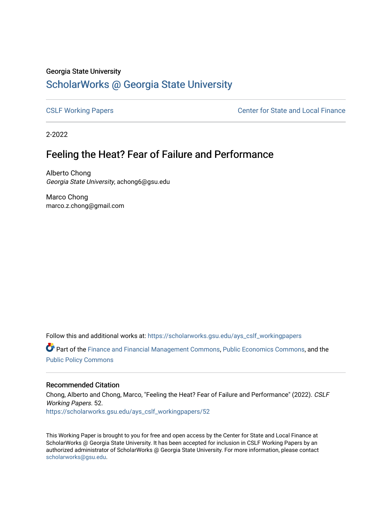#### Georgia State University

# [ScholarWorks @ Georgia State University](https://scholarworks.gsu.edu/)

[CSLF Working Papers](https://scholarworks.gsu.edu/ays_cslf_workingpapers) [Center for State and Local Finance](https://scholarworks.gsu.edu/ays_cslf) 

2-2022

## Feeling the Heat? Fear of Failure and Performance

Alberto Chong Georgia State University, achong6@gsu.edu

Marco Chong marco.z.chong@gmail.com

Follow this and additional works at: [https://scholarworks.gsu.edu/ays\\_cslf\\_workingpapers](https://scholarworks.gsu.edu/ays_cslf_workingpapers?utm_source=scholarworks.gsu.edu%2Fays_cslf_workingpapers%2F52&utm_medium=PDF&utm_campaign=PDFCoverPages)

Part of the [Finance and Financial Management Commons,](http://network.bepress.com/hgg/discipline/631?utm_source=scholarworks.gsu.edu%2Fays_cslf_workingpapers%2F52&utm_medium=PDF&utm_campaign=PDFCoverPages) [Public Economics Commons](http://network.bepress.com/hgg/discipline/351?utm_source=scholarworks.gsu.edu%2Fays_cslf_workingpapers%2F52&utm_medium=PDF&utm_campaign=PDFCoverPages), and the [Public Policy Commons](http://network.bepress.com/hgg/discipline/400?utm_source=scholarworks.gsu.edu%2Fays_cslf_workingpapers%2F52&utm_medium=PDF&utm_campaign=PDFCoverPages)

#### Recommended Citation

Chong, Alberto and Chong, Marco, "Feeling the Heat? Fear of Failure and Performance" (2022). CSLF Working Papers. 52. [https://scholarworks.gsu.edu/ays\\_cslf\\_workingpapers/52](https://scholarworks.gsu.edu/ays_cslf_workingpapers/52?utm_source=scholarworks.gsu.edu%2Fays_cslf_workingpapers%2F52&utm_medium=PDF&utm_campaign=PDFCoverPages) 

This Working Paper is brought to you for free and open access by the Center for State and Local Finance at ScholarWorks @ Georgia State University. It has been accepted for inclusion in CSLF Working Papers by an authorized administrator of ScholarWorks @ Georgia State University. For more information, please contact [scholarworks@gsu.edu.](mailto:scholarworks@gsu.edu)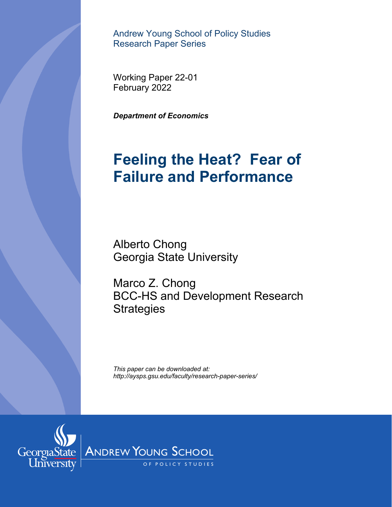Andrew Young School of Policy Studies Research Paper Series

February 2022

*Department of Economics* 

# **Feeling the Heat? Fear of Failure and Performance**

Alberto Chong Georgia State University

Marco Z. Chong BCC-HS and Development Research **Strategies** *Hebruary 2022<br>
<i>Pepartment of Economics<br> Feeling the Heat? F<br>
Failure and Perform<br>
Alberto Chong<br>
Georgia State University<br>
Marco Z. Chong<br>
BCC-HS and Development F<br>
Strategies<br>
This paper can be downloaded at:<br>
This pa* 

*This paper can be downloaded at:* 

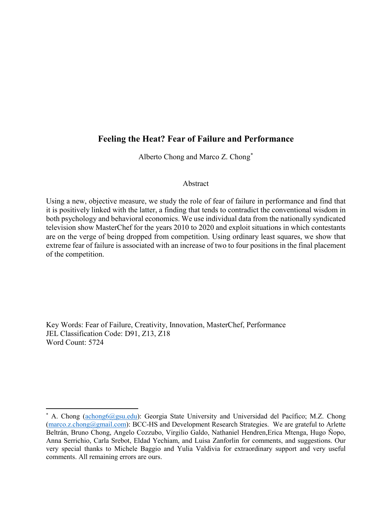## **Feeling the Heat? Fear of Failure and Performance**

Alberto Chong and Marco Z. Chong[\\*](#page-2-0)

#### Abstract

Using a new, objective measure, we study the role of fear of failure in performance and find that it is positively linked with the latter, a finding that tends to contradict the conventional wisdom in both psychology and behavioral economics. We use individual data from the nationally syndicated television show MasterChef for the years 2010 to 2020 and exploit situations in which contestants are on the verge of being dropped from competition. Using ordinary least squares, we show that extreme fear of failure is associated with an increase of two to four positions in the final placement of the competition.

Key Words: Fear of Failure, Creativity, Innovation, MasterChef, Performance JEL Classification Code: D91, Z13, Z18 Word Count: 5724

<span id="page-2-0"></span><sup>\*</sup> A. Chong [\(achong6@gsu.edu\)](mailto:achong6@gsu.edu): Georgia State University and Universidad del Pacífico; M.Z. Chong [\(marco.z.chong@gmail.com\)](mailto:marco.z.chong@gmail.com): BCC-HS and Development Research Strategies. We are grateful to Arlette Beltrán, Bruno Chong, Angelo Cozzubo, Virgilio Galdo, Nathaniel Hendren,Erica Mtenga, Hugo Ñopo, Anna Serrichio, Carla Srebot, Eldad Yechiam, and Luisa Zanforlin for comments, and suggestions. Our very special thanks to Michele Baggio and Yulia Valdivia for extraordinary support and very useful comments. All remaining errors are ours.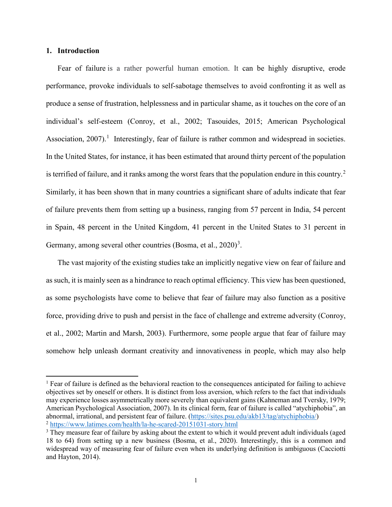#### **1. Introduction**

 $\overline{a}$ 

Fear of failure is a rather powerful human emotion. It can be highly disruptive, erode performance, provoke individuals to self-sabotage themselves to avoid confronting it as well as produce a sense of frustration, helplessness and in particular shame, as it touches on the core of an individual's self-esteem (Conroy, et al., 2002; Tasouides, 2015; American Psychological Association,  $2007$ ).<sup>[1](#page-3-0)</sup> Interestingly, fear of failure is rather common and widespread in societies. In the United States, for instance, it has been estimated that around thirty percent of the population is terrified of failure, and it ranks among the worst fears that the population endure in this country.<sup>[2](#page-3-1)</sup> Similarly, it has been shown that in many countries a significant share of adults indicate that fear of failure prevents them from setting up a business, ranging from 57 percent in India, 54 percent in Spain, 48 percent in the United Kingdom, 41 percent in the United States to 31 percent in Germany, among several other countries (Bosma, et al.,  $2020$ )<sup>[3](#page-3-2)</sup>.

The vast majority of the existing studies take an implicitly negative view on fear of failure and as such, it is mainly seen as a hindrance to reach optimal efficiency. This view has been questioned, as some psychologists have come to believe that fear of failure may also function as a positive force, providing drive to push and persist in the face of challenge and extreme adversity (Conroy, et al., 2002; Martin and Marsh, 2003). Furthermore, some people argue that fear of failure may somehow help unleash dormant creativity and innovativeness in people, which may also help

<span id="page-3-0"></span><sup>&</sup>lt;sup>1</sup> Fear of failure is defined as the behavioral reaction to the consequences anticipated for failing to achieve objectives set by oneself or others. It is distinct from loss aversion, which refers to the fact that individuals may experience losses asymmetrically more severely than equivalent gains (Kahneman and Tversky, 1979; American Psychological Association, 2007). In its clinical form, fear of failure is called "atychiphobia", an abnormal, irrational, and persistent fear of failure. [\(https://sites.psu.edu/akb13/tag/atychiphobia/\)](https://sites.psu.edu/akb13/tag/atychiphobia/) <sup>2</sup> <https://www.latimes.com/health/la-he-scared-20151031-story.html>3

<span id="page-3-2"></span><span id="page-3-1"></span><sup>&</sup>lt;sup>3</sup> They measure fear of failure by asking about the extent to which it would prevent adult individuals (aged 18 to 64) from setting up a new business (Bosma, et al., 2020). Interestingly, this is a common and widespread way of measuring fear of failure even when its underlying definition is ambiguous (Cacciotti and Hayton, 2014).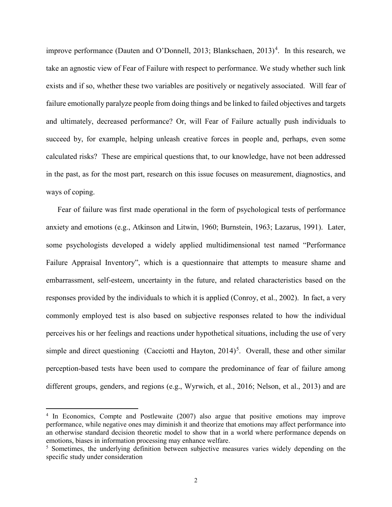improve performance (Dauten and O'Donnell, 2013; Blankschaen, 2013)<sup>[4](#page-4-0)</sup>. In this research, we take an agnostic view of Fear of Failure with respect to performance. We study whether such link exists and if so, whether these two variables are positively or negatively associated. Will fear of failure emotionally paralyze people from doing things and be linked to failed objectives and targets and ultimately, decreased performance? Or, will Fear of Failure actually push individuals to succeed by, for example, helping unleash creative forces in people and, perhaps, even some calculated risks? These are empirical questions that, to our knowledge, have not been addressed in the past, as for the most part, research on this issue focuses on measurement, diagnostics, and ways of coping.

Fear of failure was first made operational in the form of psychological tests of performance anxiety and emotions (e.g., Atkinson and Litwin, 1960; Burnstein, 1963; Lazarus, 1991). Later, some psychologists developed a widely applied multidimensional test named "Performance Failure Appraisal Inventory", which is a questionnaire that attempts to measure shame and embarrassment, self-esteem, uncertainty in the future, and related characteristics based on the responses provided by the individuals to which it is applied (Conroy, et al., 2002). In fact, a very commonly employed test is also based on subjective responses related to how the individual perceives his or her feelings and reactions under hypothetical situations, including the use of very simple and direct questioning (Cacciotti and Hayton, 2014)<sup>[5](#page-4-1)</sup>. Overall, these and other similar perception-based tests have been used to compare the predominance of fear of failure among different groups, genders, and regions (e.g., Wyrwich, et al., 2016; Nelson, et al., 2013) and are

<span id="page-4-0"></span><sup>&</sup>lt;sup>4</sup> In Economics, Compte and Postlewaite (2007) also argue that positive emotions may improve performance, while negative ones may diminish it and theorize that emotions may affect performance into an otherwise standard decision theoretic model to show that in a world where performance depends on emotions, biases in information processing may enhance welfare.

<span id="page-4-1"></span><sup>&</sup>lt;sup>5</sup> Sometimes, the underlying definition between subjective measures varies widely depending on the specific study under consideration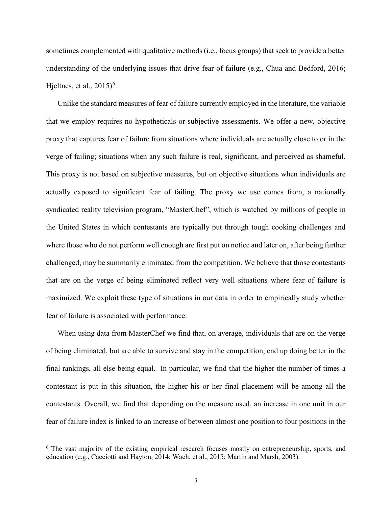sometimes complemented with qualitative methods (i.e., focus groups) that seek to provide a better understanding of the underlying issues that drive fear of failure (e.g., Chua and Bedford, 2016; Hjeltnes, et al.,  $2015)^6$  $2015)^6$ .

Unlike the standard measures of fear of failure currently employed in the literature, the variable that we employ requires no hypotheticals or subjective assessments. We offer a new, objective proxy that captures fear of failure from situations where individuals are actually close to or in the verge of failing; situations when any such failure is real, significant, and perceived as shameful. This proxy is not based on subjective measures, but on objective situations when individuals are actually exposed to significant fear of failing. The proxy we use comes from, a nationally syndicated reality television program, "MasterChef", which is watched by millions of people in the United States in which contestants are typically put through tough cooking challenges and where those who do not perform well enough are first put on notice and later on, after being further challenged, may be summarily eliminated from the competition. We believe that those contestants that are on the verge of being eliminated reflect very well situations where fear of failure is maximized. We exploit these type of situations in our data in order to empirically study whether fear of failure is associated with performance.

When using data from MasterChef we find that, on average, individuals that are on the verge of being eliminated, but are able to survive and stay in the competition, end up doing better in the final rankings, all else being equal. In particular, we find that the higher the number of times a contestant is put in this situation, the higher his or her final placement will be among all the contestants. Overall, we find that depending on the measure used, an increase in one unit in our fear of failure index is linked to an increase of between almost one position to four positions in the

<span id="page-5-0"></span><sup>&</sup>lt;sup>6</sup> The vast majority of the existing empirical research focuses mostly on entrepreneurship, sports, and education (e.g., Cacciotti and Hayton, 2014; Wach, et al., 2015; Martin and Marsh, 2003).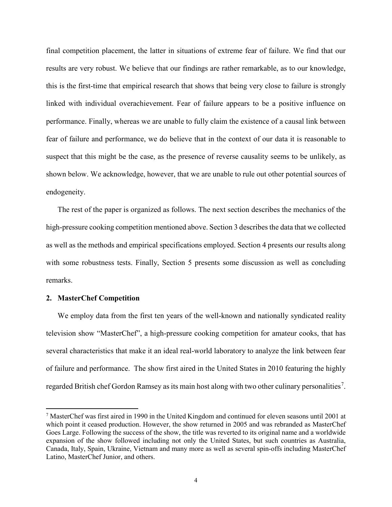final competition placement, the latter in situations of extreme fear of failure. We find that our results are very robust. We believe that our findings are rather remarkable, as to our knowledge, this is the first-time that empirical research that shows that being very close to failure is strongly linked with individual overachievement. Fear of failure appears to be a positive influence on performance. Finally, whereas we are unable to fully claim the existence of a causal link between fear of failure and performance, we do believe that in the context of our data it is reasonable to suspect that this might be the case, as the presence of reverse causality seems to be unlikely, as shown below. We acknowledge, however, that we are unable to rule out other potential sources of endogeneity.

The rest of the paper is organized as follows. The next section describes the mechanics of the high-pressure cooking competition mentioned above. Section 3 describes the data that we collected as well as the methods and empirical specifications employed. Section 4 presents our results along with some robustness tests. Finally, Section 5 presents some discussion as well as concluding remarks.

#### **2. MasterChef Competition**

 $\overline{a}$ 

We employ data from the first ten years of the well-known and nationally syndicated reality television show "MasterChef", a high-pressure cooking competition for amateur cooks, that has several characteristics that make it an ideal real-world laboratory to analyze the link between fear of failure and performance. The show first aired in the United States in 2010 featuring the highly regarded British chef Gordon Ramsey as its main host along with two other culinary personalities<sup>[7](#page-6-0)</sup>.

<span id="page-6-0"></span><sup>7</sup> MasterChef was first aired in 1990 in the United Kingdom and continued for eleven seasons until 2001 at which point it ceased production. However, the show returned in 2005 and was rebranded as MasterChef Goes Large. Following the success of the show, the title was reverted to its original name and a worldwide expansion of the show followed including not only the United States, but such countries as Australia, Canada, Italy, Spain, Ukraine, Vietnam and many more as well as several spin-offs including MasterChef Latino, MasterChef Junior, and others.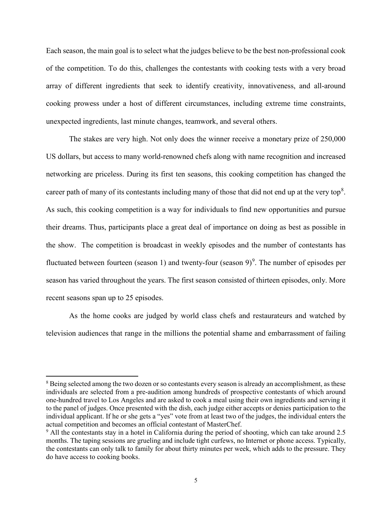Each season, the main goal is to select what the judges believe to be the best non-professional cook of the competition. To do this, challenges the contestants with cooking tests with a very broad array of different ingredients that seek to identify creativity, innovativeness, and all-around cooking prowess under a host of different circumstances, including extreme time constraints, unexpected ingredients, last minute changes, teamwork, and several others.

The stakes are very high. Not only does the winner receive a monetary prize of 250,000 US dollars, but access to many world-renowned chefs along with name recognition and increased networking are priceless. During its first ten seasons, this cooking competition has changed the career path of many of its contestants including many of those that did not end up at the very top<sup>[8](#page-7-0)</sup>. As such, this cooking competition is a way for individuals to find new opportunities and pursue their dreams. Thus, participants place a great deal of importance on doing as best as possible in the show. The competition is broadcast in weekly episodes and the number of contestants has fluctuated between fourteen (season 1) and twenty-four (season  $9)^9$  $9)^9$ . The number of episodes per season has varied throughout the years. The first season consisted of thirteen episodes, only. More recent seasons span up to 25 episodes.

As the home cooks are judged by world class chefs and restaurateurs and watched by television audiences that range in the millions the potential shame and embarrassment of failing

<span id="page-7-0"></span><sup>&</sup>lt;sup>8</sup> Being selected among the two dozen or so contestants every season is already an accomplishment, as these individuals are selected from a pre-audition among hundreds of prospective contestants of which around one-hundred travel to Los Angeles and are asked to cook a meal using their own ingredients and serving it to the panel of judges. Once presented with the dish, each judge either accepts or denies participation to the individual applicant. If he or she gets a "yes" vote from at least two of the judges, the individual enters the actual competition and becomes an official contestant of MasterChef.

<span id="page-7-1"></span><sup>&</sup>lt;sup>9</sup> All the contestants stay in a hotel in California during the period of shooting, which can take around 2.5 months. The taping sessions are grueling and include tight curfews, no Internet or phone access. Typically, the contestants can only talk to family for about thirty minutes per week, which adds to the pressure. They do have access to cooking books.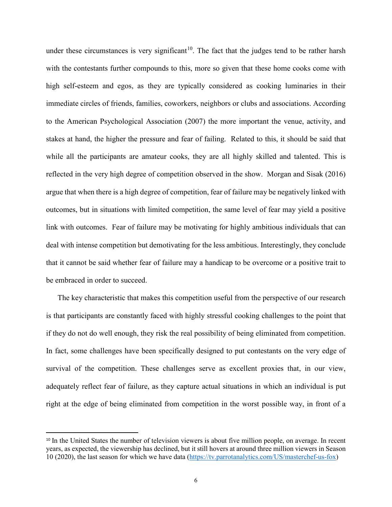under these circumstances is very significant<sup>10</sup>. The fact that the judges tend to be rather harsh with the contestants further compounds to this, more so given that these home cooks come with high self-esteem and egos, as they are typically considered as cooking luminaries in their immediate circles of friends, families, coworkers, neighbors or clubs and associations. According to the American Psychological Association (2007) the more important the venue, activity, and stakes at hand, the higher the pressure and fear of failing. Related to this, it should be said that while all the participants are amateur cooks, they are all highly skilled and talented. This is reflected in the very high degree of competition observed in the show. Morgan and Sisak (2016) argue that when there is a high degree of competition, fear of failure may be negatively linked with outcomes, but in situations with limited competition, the same level of fear may yield a positive link with outcomes. Fear of failure may be motivating for highly ambitious individuals that can deal with intense competition but demotivating for the less ambitious. Interestingly, they conclude that it cannot be said whether fear of failure may a handicap to be overcome or a positive trait to be embraced in order to succeed.

The key characteristic that makes this competition useful from the perspective of our research is that participants are constantly faced with highly stressful cooking challenges to the point that if they do not do well enough, they risk the real possibility of being eliminated from competition. In fact, some challenges have been specifically designed to put contestants on the very edge of survival of the competition. These challenges serve as excellent proxies that, in our view, adequately reflect fear of failure, as they capture actual situations in which an individual is put right at the edge of being eliminated from competition in the worst possible way, in front of a

<span id="page-8-0"></span><sup>&</sup>lt;sup>10</sup> In the United States the number of television viewers is about five million people, on average. In recent years, as expected, the viewership has declined, but it still hovers at around three million viewers in Season 10 (2020), the last season for which we have data [\(https://tv.parrotanalytics.com/US/masterchef-us-fox\)](https://tv.parrotanalytics.com/US/masterchef-us-fox)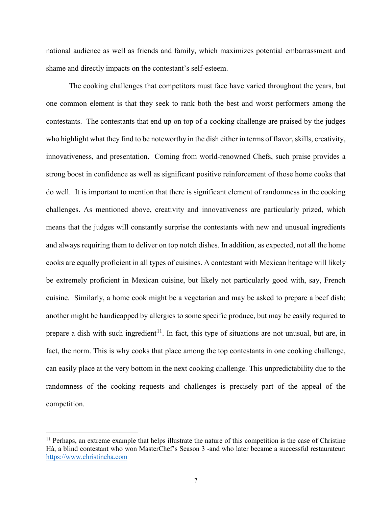national audience as well as friends and family, which maximizes potential embarrassment and shame and directly impacts on the contestant's self-esteem.

The cooking challenges that competitors must face have varied throughout the years, but one common element is that they seek to rank both the best and worst performers among the contestants. The contestants that end up on top of a cooking challenge are praised by the judges who highlight what they find to be noteworthy in the dish either in terms of flavor, skills, creativity, innovativeness, and presentation. Coming from world-renowned Chefs, such praise provides a strong boost in confidence as well as significant positive reinforcement of those home cooks that do well. It is important to mention that there is significant element of randomness in the cooking challenges. As mentioned above, creativity and innovativeness are particularly prized, which means that the judges will constantly surprise the contestants with new and unusual ingredients and always requiring them to deliver on top notch dishes. In addition, as expected, not all the home cooks are equally proficient in all types of cuisines. A contestant with Mexican heritage will likely be extremely proficient in Mexican cuisine, but likely not particularly good with, say, French cuisine. Similarly, a home cook might be a vegetarian and may be asked to prepare a beef dish; another might be handicapped by allergies to some specific produce, but may be easily required to prepare a dish with such ingredient<sup>[11](#page-9-0)</sup>. In fact, this type of situations are not unusual, but are, in fact, the norm. This is why cooks that place among the top contestants in one cooking challenge, can easily place at the very bottom in the next cooking challenge. This unpredictability due to the randomness of the cooking requests and challenges is precisely part of the appeal of the competition.

<span id="page-9-0"></span><sup>&</sup>lt;sup>11</sup> Perhaps, an extreme example that helps illustrate the nature of this competition is the case of Christine Hà, a blind contestant who won MasterChef's Season 3 -and who later became a successful restaurateur: [https://www.christineha.com](https://www.christineha.com/)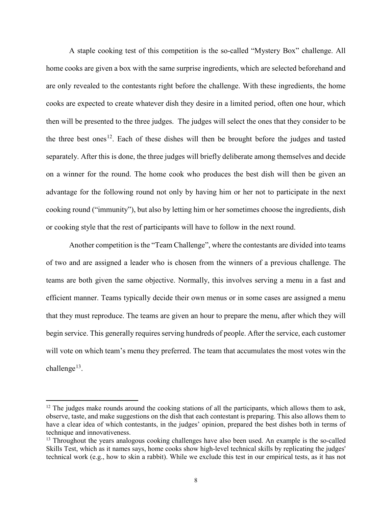A staple cooking test of this competition is the so-called "Mystery Box" challenge. All home cooks are given a box with the same surprise ingredients, which are selected beforehand and are only revealed to the contestants right before the challenge. With these ingredients, the home cooks are expected to create whatever dish they desire in a limited period, often one hour, which then will be presented to the three judges. The judges will select the ones that they consider to be the three best ones<sup>[12](#page-10-0)</sup>. Each of these dishes will then be brought before the judges and tasted separately. After this is done, the three judges will briefly deliberate among themselves and decide on a winner for the round. The home cook who produces the best dish will then be given an advantage for the following round not only by having him or her not to participate in the next cooking round ("immunity"), but also by letting him or her sometimes choose the ingredients, dish or cooking style that the rest of participants will have to follow in the next round.

Another competition is the "Team Challenge", where the contestants are divided into teams of two and are assigned a leader who is chosen from the winners of a previous challenge. The teams are both given the same objective. Normally, this involves serving a menu in a fast and efficient manner. Teams typically decide their own menus or in some cases are assigned a menu that they must reproduce. The teams are given an hour to prepare the menu, after which they will begin service. This generally requires serving hundreds of people. After the service, each customer will vote on which team's menu they preferred. The team that accumulates the most votes win the challenge<sup>13</sup>.

<span id="page-10-0"></span><sup>&</sup>lt;sup>12</sup> The judges make rounds around the cooking stations of all the participants, which allows them to ask, observe, taste, and make suggestions on the dish that each contestant is preparing. This also allows them to have a clear idea of which contestants, in the judges' opinion, prepared the best dishes both in terms of technique and innovativeness.

<span id="page-10-1"></span><sup>&</sup>lt;sup>13</sup> Throughout the years analogous cooking challenges have also been used. An example is the so-called Skills Test, which as it names says, home cooks show high-level technical skills by replicating the judges' technical work (e.g., how to skin a rabbit). While we exclude this test in our empirical tests, as it has not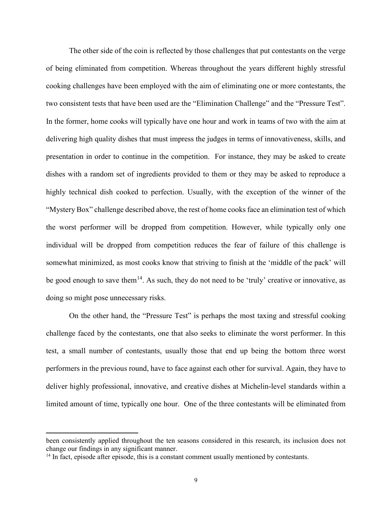The other side of the coin is reflected by those challenges that put contestants on the verge of being eliminated from competition. Whereas throughout the years different highly stressful cooking challenges have been employed with the aim of eliminating one or more contestants, the two consistent tests that have been used are the "Elimination Challenge" and the "Pressure Test". In the former, home cooks will typically have one hour and work in teams of two with the aim at delivering high quality dishes that must impress the judges in terms of innovativeness, skills, and presentation in order to continue in the competition. For instance, they may be asked to create dishes with a random set of ingredients provided to them or they may be asked to reproduce a highly technical dish cooked to perfection. Usually, with the exception of the winner of the "Mystery Box" challenge described above, the rest of home cooks face an elimination test of which the worst performer will be dropped from competition. However, while typically only one individual will be dropped from competition reduces the fear of failure of this challenge is somewhat minimized, as most cooks know that striving to finish at the 'middle of the pack' will be good enough to save them<sup>[14](#page-11-0)</sup>. As such, they do not need to be 'truly' creative or innovative, as doing so might pose unnecessary risks.

On the other hand, the "Pressure Test" is perhaps the most taxing and stressful cooking challenge faced by the contestants, one that also seeks to eliminate the worst performer. In this test, a small number of contestants, usually those that end up being the bottom three worst performers in the previous round, have to face against each other for survival. Again, they have to deliver highly professional, innovative, and creative dishes at Michelin-level standards within a limited amount of time, typically one hour. One of the three contestants will be eliminated from

been consistently applied throughout the ten seasons considered in this research, its inclusion does not change our findings in any significant manner.

<span id="page-11-0"></span> $14$  In fact, episode after episode, this is a constant comment usually mentioned by contestants.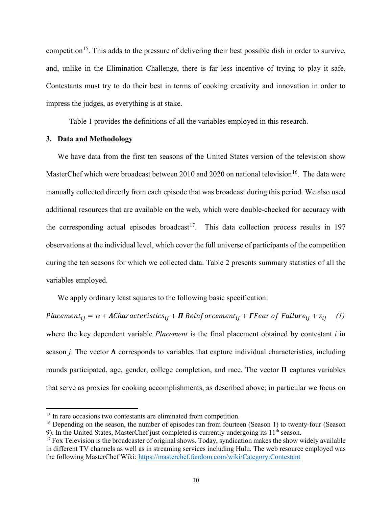competition<sup>[15](#page-12-0)</sup>. This adds to the pressure of delivering their best possible dish in order to survive, and, unlike in the Elimination Challenge, there is far less incentive of trying to play it safe. Contestants must try to do their best in terms of cooking creativity and innovation in order to impress the judges, as everything is at stake.

Table 1 provides the definitions of all the variables employed in this research.

#### **3. Data and Methodology**

 $\overline{a}$ 

We have data from the first ten seasons of the United States version of the television show MasterChef which were broadcast between 2010 and 2020 on national television<sup>16</sup>. The data were manually collected directly from each episode that was broadcast during this period. We also used additional resources that are available on the web, which were double-checked for accuracy with the corresponding actual episodes broadcast<sup>17</sup>. This data collection process results in 197 observations at the individual level, which cover the full universe of participants of the competition during the ten seasons for which we collected data. Table 2 presents summary statistics of all the variables employed.

We apply ordinary least squares to the following basic specification:

Placement<sub>ij</sub> =  $\alpha$  + **A**Characteristics<sub>ij</sub> +  $\Pi$  Reinforcement<sub>ij</sub> + **F**Fear of Failure<sub>ij</sub> +  $\varepsilon$ <sub>ij</sub> (1) where the key dependent variable *Placement* is the final placement obtained by contestant *i* in season *j*. The vector  $\Lambda$  corresponds to variables that capture individual characteristics, including rounds participated, age, gender, college completion, and race. The vector  $\Pi$  captures variables that serve as proxies for cooking accomplishments, as described above; in particular we focus on

<span id="page-12-0"></span><sup>&</sup>lt;sup>15</sup> In rare occasions two contestants are eliminated from competition.

<span id="page-12-1"></span><sup>&</sup>lt;sup>16</sup> Depending on the season, the number of episodes ran from fourteen (Season 1) to twenty-four (Season 9). In the United States, MasterChef just completed is currently undergoing its  $11<sup>th</sup>$  season.

<span id="page-12-2"></span> $17$  Fox Television is the broadcaster of original shows. Today, syndication makes the show widely available in different TV channels as well as in streaming services including Hulu. The web resource employed was the following MasterChef Wiki:<https://masterchef.fandom.com/wiki/Category:Contestant>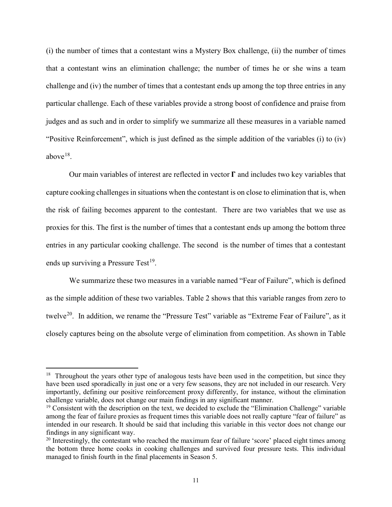(i) the number of times that a contestant wins a Mystery Box challenge, (ii) the number of times that a contestant wins an elimination challenge; the number of times he or she wins a team challenge and (iv) the number of times that a contestant ends up among the top three entries in any particular challenge. Each of these variables provide a strong boost of confidence and praise from judges and as such and in order to simplify we summarize all these measures in a variable named "Positive Reinforcement", which is just defined as the simple addition of the variables (i) to (iv) above $18$ .

Our main variables of interest are reflected in vector  $\Gamma$  and includes two key variables that capture cooking challenges in situations when the contestant is on close to elimination that is, when the risk of failing becomes apparent to the contestant. There are two variables that we use as proxies for this. The first is the number of times that a contestant ends up among the bottom three entries in any particular cooking challenge. The second is the number of times that a contestant ends up surviving a Pressure Test<sup>19</sup>.

We summarize these two measures in a variable named "Fear of Failure", which is defined as the simple addition of these two variables. Table 2 shows that this variable ranges from zero to twelve<sup>20</sup>. In addition, we rename the "Pressure Test" variable as "Extreme Fear of Failure", as it closely captures being on the absolute verge of elimination from competition. As shown in Table

<span id="page-13-0"></span><sup>&</sup>lt;sup>18</sup> Throughout the years other type of analogous tests have been used in the competition, but since they have been used sporadically in just one or a very few seasons, they are not included in our research. Very importantly, defining our positive reinforcement proxy differently, for instance, without the elimination challenge variable, does not change our main findings in any significant manner.

<span id="page-13-1"></span><sup>&</sup>lt;sup>19</sup> Consistent with the description on the text, we decided to exclude the "Elimination Challenge" variable among the fear of failure proxies as frequent times this variable does not really capture "fear of failure" as intended in our research. It should be said that including this variable in this vector does not change our findings in any significant way.

<span id="page-13-2"></span><sup>&</sup>lt;sup>20</sup> Interestingly, the contestant who reached the maximum fear of failure 'score' placed eight times among the bottom three home cooks in cooking challenges and survived four pressure tests. This individual managed to finish fourth in the final placements in Season 5.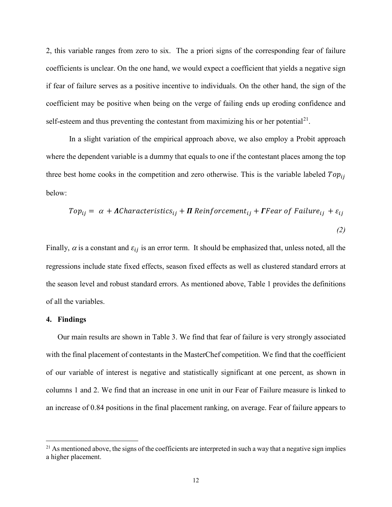2, this variable ranges from zero to six. The a priori signs of the corresponding fear of failure coefficients is unclear. On the one hand, we would expect a coefficient that yields a negative sign if fear of failure serves as a positive incentive to individuals. On the other hand, the sign of the coefficient may be positive when being on the verge of failing ends up eroding confidence and self-esteem and thus preventing the contestant from maximizing his or her potential<sup>[21](#page-14-0)</sup>.

In a slight variation of the empirical approach above, we also employ a Probit approach where the dependent variable is a dummy that equals to one if the contestant places among the top three best home cooks in the competition and zero otherwise. This is the variable labeled  $Top_{ii}$ below:

$$
Top_{ij} = \alpha + \Lambda Characteristics_{ij} + \Pi\ Reinforcement_{ij} + \Gamma Fear\ of\ Failure_{ij} + \varepsilon_{ij}
$$
\n(2)

Finally,  $\alpha$  is a constant and  $\varepsilon_{ij}$  is an error term. It should be emphasized that, unless noted, all the regressions include state fixed effects, season fixed effects as well as clustered standard errors at the season level and robust standard errors. As mentioned above, Table 1 provides the definitions of all the variables.

#### **4. Findings**

 $\overline{a}$ 

Our main results are shown in Table 3. We find that fear of failure is very strongly associated with the final placement of contestants in the MasterChef competition. We find that the coefficient of our variable of interest is negative and statistically significant at one percent, as shown in columns 1 and 2. We find that an increase in one unit in our Fear of Failure measure is linked to an increase of 0.84 positions in the final placement ranking, on average. Fear of failure appears to

<span id="page-14-0"></span> $21$  As mentioned above, the signs of the coefficients are interpreted in such a way that a negative sign implies a higher placement.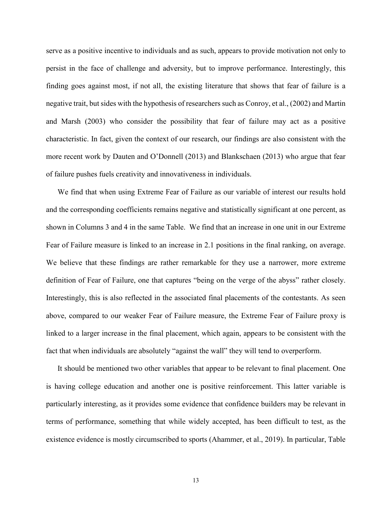serve as a positive incentive to individuals and as such, appears to provide motivation not only to persist in the face of challenge and adversity, but to improve performance. Interestingly, this finding goes against most, if not all, the existing literature that shows that fear of failure is a negative trait, but sides with the hypothesis of researchers such as Conroy, et al., (2002) and Martin and Marsh (2003) who consider the possibility that fear of failure may act as a positive characteristic. In fact, given the context of our research, our findings are also consistent with the more recent work by Dauten and O'Donnell (2013) and Blankschaen (2013) who argue that fear of failure pushes fuels creativity and innovativeness in individuals.

We find that when using Extreme Fear of Failure as our variable of interest our results hold and the corresponding coefficients remains negative and statistically significant at one percent, as shown in Columns 3 and 4 in the same Table. We find that an increase in one unit in our Extreme Fear of Failure measure is linked to an increase in 2.1 positions in the final ranking, on average. We believe that these findings are rather remarkable for they use a narrower, more extreme definition of Fear of Failure, one that captures "being on the verge of the abyss" rather closely. Interestingly, this is also reflected in the associated final placements of the contestants. As seen above, compared to our weaker Fear of Failure measure, the Extreme Fear of Failure proxy is linked to a larger increase in the final placement, which again, appears to be consistent with the fact that when individuals are absolutely "against the wall" they will tend to overperform.

It should be mentioned two other variables that appear to be relevant to final placement. One is having college education and another one is positive reinforcement. This latter variable is particularly interesting, as it provides some evidence that confidence builders may be relevant in terms of performance, something that while widely accepted, has been difficult to test, as the existence evidence is mostly circumscribed to sports (Ahammer, et al., 2019). In particular, Table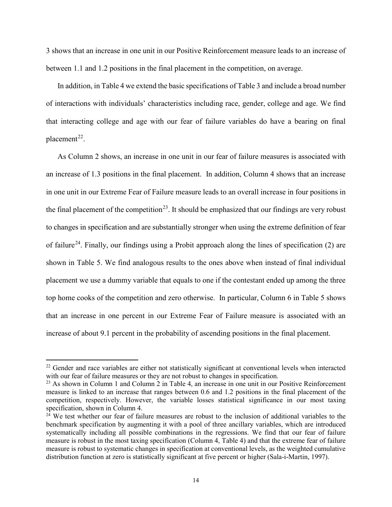3 shows that an increase in one unit in our Positive Reinforcement measure leads to an increase of between 1.1 and 1.2 positions in the final placement in the competition, on average.

In addition, in Table 4 we extend the basic specifications of Table 3 and include a broad number of interactions with individuals' characteristics including race, gender, college and age. We find that interacting college and age with our fear of failure variables do have a bearing on final placement<sup>22</sup>.

As Column 2 shows, an increase in one unit in our fear of failure measures is associated with an increase of 1.3 positions in the final placement. In addition, Column 4 shows that an increase in one unit in our Extreme Fear of Failure measure leads to an overall increase in four positions in the final placement of the competition<sup>23</sup>. It should be emphasized that our findings are very robust to changes in specification and are substantially stronger when using the extreme definition of fear of failure<sup>24</sup>. Finally, our findings using a Probit approach along the lines of specification (2) are shown in Table 5. We find analogous results to the ones above when instead of final individual placement we use a dummy variable that equals to one if the contestant ended up among the three top home cooks of the competition and zero otherwise. In particular, Column 6 in Table 5 shows that an increase in one percent in our Extreme Fear of Failure measure is associated with an increase of about 9.1 percent in the probability of ascending positions in the final placement.

<span id="page-16-0"></span><sup>&</sup>lt;sup>22</sup> Gender and race variables are either not statistically significant at conventional levels when interacted with our fear of failure measures or they are not robust to changes in specification.

<span id="page-16-1"></span><sup>&</sup>lt;sup>23</sup> As shown in Column 1 and Column 2 in Table 4, an increase in one unit in our Positive Reinforcement measure is linked to an increase that ranges between 0.6 and 1.2 positions in the final placement of the competition, respectively. However, the variable losses statistical significance in our most taxing specification, shown in Column 4.

<span id="page-16-2"></span> $24$  We test whether our fear of failure measures are robust to the inclusion of additional variables to the benchmark specification by augmenting it with a pool of three ancillary variables, which are introduced systematically including all possible combinations in the regressions. We find that our fear of failure measure is robust in the most taxing specification (Column 4, Table 4) and that the extreme fear of failure measure is robust to systematic changes in specification at conventional levels, as the weighted cumulative distribution function at zero is statistically significant at five percent or higher (Sala-i-Martin, 1997).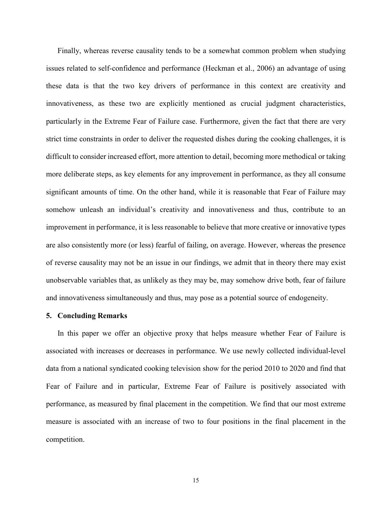Finally, whereas reverse causality tends to be a somewhat common problem when studying issues related to self-confidence and performance (Heckman et al., 2006) an advantage of using these data is that the two key drivers of performance in this context are creativity and innovativeness, as these two are explicitly mentioned as crucial judgment characteristics, particularly in the Extreme Fear of Failure case. Furthermore, given the fact that there are very strict time constraints in order to deliver the requested dishes during the cooking challenges, it is difficult to consider increased effort, more attention to detail, becoming more methodical or taking more deliberate steps, as key elements for any improvement in performance, as they all consume significant amounts of time. On the other hand, while it is reasonable that Fear of Failure may somehow unleash an individual's creativity and innovativeness and thus, contribute to an improvement in performance, it is less reasonable to believe that more creative or innovative types are also consistently more (or less) fearful of failing, on average. However, whereas the presence of reverse causality may not be an issue in our findings, we admit that in theory there may exist unobservable variables that, as unlikely as they may be, may somehow drive both, fear of failure and innovativeness simultaneously and thus, may pose as a potential source of endogeneity.

#### **5. Concluding Remarks**

In this paper we offer an objective proxy that helps measure whether Fear of Failure is associated with increases or decreases in performance. We use newly collected individual-level data from a national syndicated cooking television show for the period 2010 to 2020 and find that Fear of Failure and in particular, Extreme Fear of Failure is positively associated with performance, as measured by final placement in the competition. We find that our most extreme measure is associated with an increase of two to four positions in the final placement in the competition.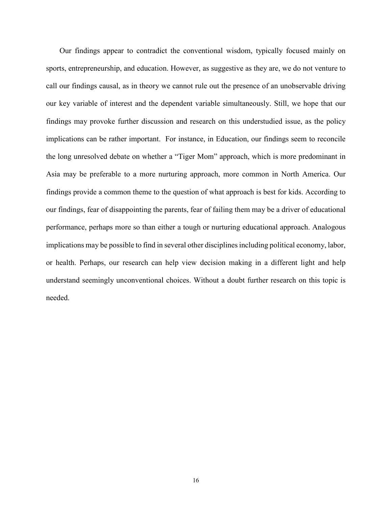Our findings appear to contradict the conventional wisdom, typically focused mainly on sports, entrepreneurship, and education. However, as suggestive as they are, we do not venture to call our findings causal, as in theory we cannot rule out the presence of an unobservable driving our key variable of interest and the dependent variable simultaneously. Still, we hope that our findings may provoke further discussion and research on this understudied issue, as the policy implications can be rather important. For instance, in Education, our findings seem to reconcile the long unresolved debate on whether a "Tiger Mom" approach, which is more predominant in Asia may be preferable to a more nurturing approach, more common in North America. Our findings provide a common theme to the question of what approach is best for kids. According to our findings, fear of disappointing the parents, fear of failing them may be a driver of educational performance, perhaps more so than either a tough or nurturing educational approach. Analogous implications may be possible to find in several other disciplines including political economy, labor, or health. Perhaps, our research can help view decision making in a different light and help understand seemingly unconventional choices. Without a doubt further research on this topic is needed.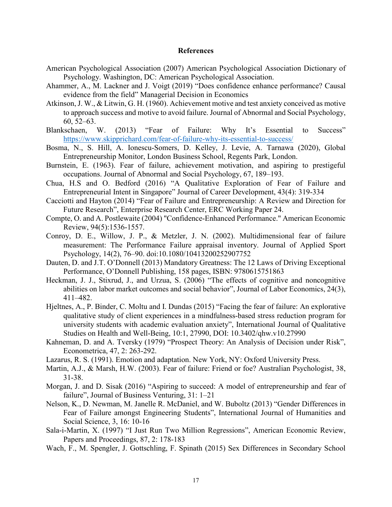#### **References**

- American Psychological Association (2007) American Psychological Association Dictionary of Psychology. Washington, DC: American Psychological Association.
- Ahammer, A., M. Lackner and J. Voigt (2019) "Does confidence enhance performance? Causal evidence from the field" Managerial Decision in Economics
- Atkinson, J. W., & Litwin, G. H. (1960). Achievement motive and test anxiety conceived as motive to approach success and motive to avoid failure. Journal of Abnormal and Social Psychology, 60, 52–63.
- Blankschaen, W. (2013) "Fear of Failure: Why It's Essential to Success" <https://www.skipprichard.com/fear-of-failure-why-its-essential-to-success/>
- Bosma, N., S. Hill, A. Ionescu-Somers, D. Kelley, J. Levie, A. Tarnawa (2020), Global Entrepreneurship Monitor, London Business School, Regents Park, London.
- Burnstein, E. (1963). Fear of failure, achievement motivation, and aspiring to prestigeful occupations. Journal of Abnormal and Social Psychology, 67, 189–193.
- Chua, H.S and O. Bedford (2016) "A Qualitative Exploration of Fear of Failure and Entrepreneurial Intent in Singapore" Journal of Career Development, 43(4): 319-334
- Cacciotti and Hayton (2014) "Fear of Failure and Entrepreneurship: A Review and Direction for Future Research", Enterprise Research Center, ERC Working Paper 24.
- Compte, O. and A. Postlewaite (2004) "Confidence-Enhanced Performance." American Economic Review, 94(5):1536-1557.
- Conroy, D. E., Willow, J. P., & Metzler, J. N. (2002). Multidimensional fear of failure measurement: The Performance Failure appraisal inventory. Journal of Applied Sport Psychology, 14(2), 76–90. doi:10.1080/10413200252907752
- Dauten, D. and J.T. O'Donnell (2013) Mandatory Greatness: The 12 Laws of Driving Exceptional Performance, O'Donnell Publishing, 158 pages, ISBN: 9780615751863
- Heckman, J. J., Stixrud, J., and Urzua, S. (2006) "The effects of cognitive and noncognitive abilities on labor market outcomes and social behavior", Journal of Labor Economics, 24(3), 411–482.
- Hjeltnes, A., P. Binder, C. Moltu and I. Dundas (2015) "Facing the fear of failure: An explorative qualitative study of client experiences in a mindfulness-based stress reduction program for university students with academic evaluation anxiety", International Journal of Qualitative Studies on Health and Well-Being, 10:1, 27990, DOI: 10.3402/qhw.v10.27990
- Kahneman, D. and A. Tversky (1979) "Prospect Theory: An Analysis of Decision under Risk", Econometrica, 47, 2: 263-292.
- Lazarus, R. S. (1991). Emotion and adaptation. New York, NY: Oxford University Press.
- Martin, A.J., & Marsh, H.W. (2003). Fear of failure: Friend or foe? Australian Psychologist, 38, 31-38.
- Morgan, J. and D. Sisak (2016) "Aspiring to succeed: A model of entrepreneurship and fear of failure", Journal of Business Venturing, 31: 1–21
- Nelson, K., D. Newman, M. Janelle R. McDaniel, and W. Buboltz (2013) "Gender Differences in Fear of Failure amongst Engineering Students", International Journal of Humanities and Social Science, 3, 16: 10-16
- Sala-i-Martin, X. (1997) "I Just Run Two Million Regressions", American Economic Review, Papers and Proceedings, 87, 2: 178-183
- Wach, F., M. Spengler, J. Gottschling, F. Spinath (2015) Sex Differences in Secondary School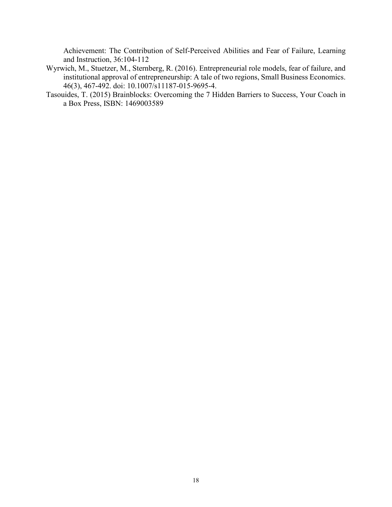Achievement: The Contribution of Self-Perceived Abilities and Fear of Failure, Learning and Instruction, 36:104-112

- Wyrwich, M., Stuetzer, M., Sternberg, R. (2016). Entrepreneurial role models, fear of failure, and institutional approval of entrepreneurship: A tale of two regions, Small Business Economics. 46(3), 467-492. doi: 10.1007/s11187-015-9695-4.
- Tasouides, T. (2015) Brainblocks: Overcoming the 7 Hidden Barriers to Success, Your Coach in a Box Press, ISBN: 1469003589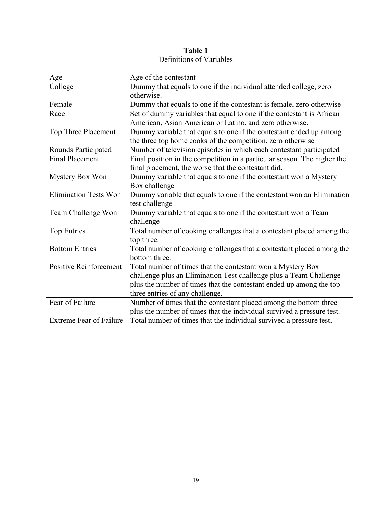**Table 1** Definitions of Variables

| Age                            | Age of the contestant                                                    |
|--------------------------------|--------------------------------------------------------------------------|
| College                        | Dummy that equals to one if the individual attended college, zero        |
|                                | otherwise.                                                               |
| Female                         | Dummy that equals to one if the contestant is female, zero otherwise     |
| Race                           | Set of dummy variables that equal to one if the contestant is African    |
|                                | American, Asian American or Latino, and zero otherwise.                  |
| Top Three Placement            | Dummy variable that equals to one if the contestant ended up among       |
|                                | the three top home cooks of the competition, zero otherwise              |
| Rounds Participated            | Number of television episodes in which each contestant participated      |
| <b>Final Placement</b>         | Final position in the competition in a particular season. The higher the |
|                                | final placement, the worse that the contestant did.                      |
| Mystery Box Won                | Dummy variable that equals to one if the contestant won a Mystery        |
|                                | Box challenge                                                            |
| <b>Elimination Tests Won</b>   | Dummy variable that equals to one if the contestant won an Elimination   |
|                                | test challenge                                                           |
| Team Challenge Won             | Dummy variable that equals to one if the contestant won a Team           |
|                                | challenge                                                                |
| <b>Top Entries</b>             | Total number of cooking challenges that a contestant placed among the    |
|                                | top three.                                                               |
| <b>Bottom Entries</b>          | Total number of cooking challenges that a contestant placed among the    |
|                                | bottom three.                                                            |
| <b>Positive Reinforcement</b>  | Total number of times that the contestant won a Mystery Box              |
|                                | challenge plus an Elimination Test challenge plus a Team Challenge       |
|                                | plus the number of times that the contestant ended up among the top      |
|                                | three entries of any challenge.                                          |
| Fear of Failure                | Number of times that the contestant placed among the bottom three        |
|                                | plus the number of times that the individual survived a pressure test.   |
| <b>Extreme Fear of Failure</b> | Total number of times that the individual survived a pressure test.      |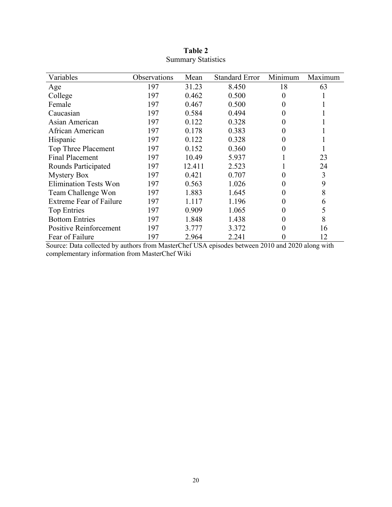| Variables                      | Observations | Mean   | <b>Standard Error</b> | Minimum  | Maximum |
|--------------------------------|--------------|--------|-----------------------|----------|---------|
| Age                            | 197          | 31.23  | 8.450                 | 18       | 63      |
| College                        | 197          | 0.462  | 0.500                 | $\theta$ |         |
| Female                         | 197          | 0.467  | 0.500                 |          |         |
| Caucasian                      | 197          | 0.584  | 0.494                 |          |         |
| Asian American                 | 197          | 0.122  | 0.328                 | 0        |         |
| African American               | 197          | 0.178  | 0.383                 | 0        |         |
| Hispanic                       | 197          | 0.122  | 0.328                 | 0        |         |
| Top Three Placement            | 197          | 0.152  | 0.360                 | 0        |         |
| <b>Final Placement</b>         | 197          | 10.49  | 5.937                 |          | 23      |
| Rounds Participated            | 197          | 12.411 | 2.523                 |          | 24      |
| <b>Mystery Box</b>             | 197          | 0.421  | 0.707                 |          | 3       |
| <b>Elimination Tests Won</b>   | 197          | 0.563  | 1.026                 |          | 9       |
| Team Challenge Won             | 197          | 1.883  | 1.645                 |          | 8       |
| <b>Extreme Fear of Failure</b> | 197          | 1.117  | 1.196                 |          | 6       |
| Top Entries                    | 197          | 0.909  | 1.065                 |          | 5       |
| <b>Bottom Entries</b>          | 197          | 1.848  | 1.438                 |          | 8       |
| <b>Positive Reinforcement</b>  | 197          | 3.777  | 3.372                 |          | 16      |
| Fear of Failure                | 197          | 2.964  | 2.241                 |          | 12      |

**Table 2** Summary Statistics

Source: Data collected by authors from MasterChef USA episodes between 2010 and 2020 along with complementary information from MasterChef Wiki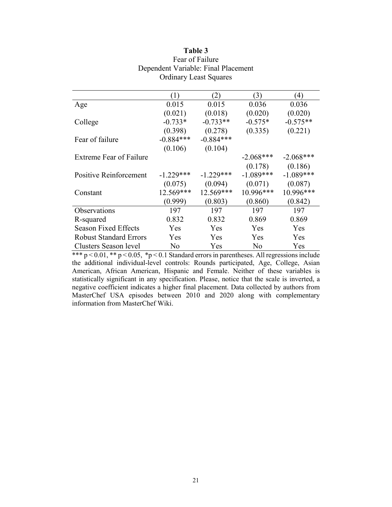|                               | $\left(1\right)$ | $\mathbf{2}$ | (3)         | $\left(4\right)$ |
|-------------------------------|------------------|--------------|-------------|------------------|
| Age                           | 0.015            | 0.015        | 0.036       | 0.036            |
|                               | (0.021)          | (0.018)      | (0.020)     | (0.020)          |
| College                       | $-0.733*$        | $-0.733**$   | $-0.575*$   | $-0.575**$       |
|                               | (0.398)          | (0.278)      | (0.335)     | (0.221)          |
| Fear of failure               | $-0.884***$      | $-0.884***$  |             |                  |
|                               | (0.106)          | (0.104)      |             |                  |
| Extreme Fear of Failure       |                  |              | $-2.068***$ | $-2.068***$      |
|                               |                  |              | (0.178)     | (0.186)          |
| <b>Positive Reinforcement</b> | $-1.229***$      | $-1.229***$  | $-1.089***$ | $-1.089***$      |
|                               | (0.075)          | (0.094)      | (0.071)     | (0.087)          |
| Constant                      | 12.569***        | 12.569***    | 10.996***   | 10.996***        |
|                               | (0.999)          | (0.803)      | (0.860)     | (0.842)          |
| Observations                  | 197              | 197          | 197         | 197              |
| R-squared                     | 0.832            | 0.832        | 0.869       | 0.869            |
| <b>Season Fixed Effects</b>   | Yes              | Yes          | <b>Yes</b>  | Yes              |
| <b>Robust Standard Errors</b> | Yes              | Yes          | Yes         | Yes              |
| Clusters Season level         | No               | Yes          | No          | Yes              |

### **Table 3** Fear of Failure Dependent Variable: Final Placement Ordinary Least Squares

\*\*\*  $p < 0.01$ , \*\*  $p < 0.05$ , \* $p < 0.1$  Standard errors in parentheses. All regressions include the additional individual-level controls: Rounds participated, Age, College, Asian American, African American, Hispanic and Female. Neither of these variables is statistically significant in any specification. Please, notice that the scale is inverted, a negative coefficient indicates a higher final placement. Data collected by authors from MasterChef USA episodes between 2010 and 2020 along with complementary information from MasterChef Wiki.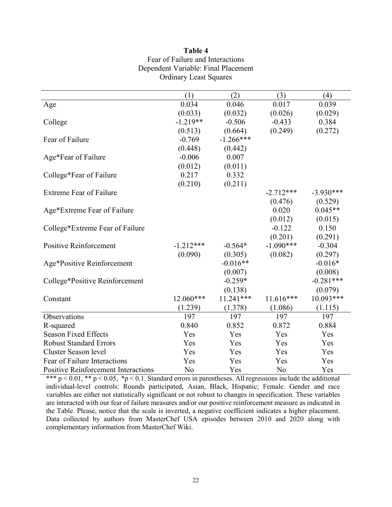| Table 4                             |
|-------------------------------------|
| Fear of Failure and Interactions    |
| Dependent Variable: Final Placement |
| <b>Ordinary Least Squares</b>       |

|                                            | (1)         | (2)         | (3)         | (4)         |
|--------------------------------------------|-------------|-------------|-------------|-------------|
| Age                                        | 0.034       | 0.046       | 0.017       | 0.039       |
|                                            | (0.033)     | (0.032)     | (0.026)     | (0.029)     |
| College                                    | $-1.219**$  | $-0.506$    | $-0.433$    | 0.384       |
|                                            | (0.513)     | (0.664)     | (0.249)     | (0.272)     |
| Fear of Failure                            | $-0.769$    | $-1.266***$ |             |             |
|                                            | (0.448)     | (0.442)     |             |             |
| Age*Fear of Failure                        | $-0.006$    | 0.007       |             |             |
|                                            | (0.012)     | (0.011)     |             |             |
| College*Fear of Failure                    | 0.217       | 0.332       |             |             |
|                                            | (0.210)     | (0.211)     |             |             |
| <b>Extreme Fear of Failure</b>             |             |             | $-2.712***$ | $-3.930***$ |
|                                            |             |             | (0.476)     | (0.529)     |
| Age*Extreme Fear of Failure                |             |             | 0.020       | $0.045**$   |
|                                            |             |             | (0.012)     | (0.015)     |
| College*Extreme Fear of Failure            |             |             | $-0.122$    | 0.150       |
|                                            |             |             | (0.201)     | (0.291)     |
| <b>Positive Reinforcement</b>              | $-1.212***$ | $-0.564*$   | $-1.090***$ | $-0.304$    |
|                                            | (0.090)     | (0.305)     | (0.082)     | (0.297)     |
| Age*Positive Reinforcement                 |             | $-0.016**$  |             | $-0.016*$   |
|                                            |             | (0.007)     |             | (0.008)     |
| College*Positive Reinforcement             |             | $-0.259*$   |             | $-0.281***$ |
|                                            |             | (0.138)     |             | (0.079)     |
| Constant                                   | 12.060***   | $11.241***$ | $11.616***$ | $10.093***$ |
|                                            | (1.239)     | (1.378)     | (1.086)     | (1.115)     |
| Observations                               | 197         | 197         | 197         | 197         |
| R-squared                                  | 0.840       | 0.852       | 0.872       | 0.884       |
| <b>Season Fixed Effects</b>                | Yes         | Yes         | Yes         | Yes         |
| <b>Robust Standard Errors</b>              | Yes         | Yes         | Yes         | Yes         |
| <b>Cluster Season level</b>                | Yes         | Yes         | Yes         | Yes         |
| Fear of Failure Interactions               | Yes         | Yes         | Yes         | Yes         |
| <b>Positive Reinforcement Interactions</b> | No          | Yes         | No          | Yes         |

\*\*\*  $p < 0.01$ , \*\*  $p < 0.05$ , \*p  $< 0.1$ . Standard errors in parentheses. All regressions include the additional individual-level controls: Rounds participated, Asian, Black, Hispanic; Female. Gender and race variables are either not statistically significant or not robust to changes in specification. These variables are interacted with our fear of failure measures and/or our positive reinforcement measure as indicated in the Table. Please, notice that the scale is inverted, a negative coefficient indicates a higher placement. Data collected by authors from MasterChef USA episodes between 2010 and 2020 along with complementary information from MasterChef Wiki.